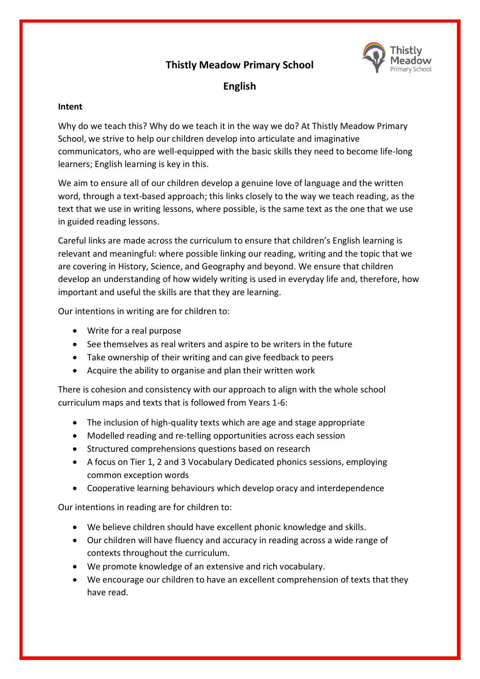# **Thistly Meadow Primary School**



# **English**

## **Intent**

Why do we teach this? Why do we teach it in the way we do? At Thistly Meadow Primary School, we strive to help our children develop into articulate and imaginative communicators, who are well-equipped with the basic skills they need to become life-long learners; English learning is key in this.

We aim to ensure all of our children develop a genuine love of language and the written word, through a text-based approach; this links closely to the way we teach reading, as the text that we use in writing lessons, where possible, is the same text as the one that we use in guided reading lessons.

Careful links are made across the curriculum to ensure that children's English learning is relevant and meaningful: where possible linking our reading, writing and the topic that we are covering in History, Science, and Geography and beyond. We ensure that children develop an understanding of how widely writing is used in everyday life and, therefore, how important and useful the skills are that they are learning.

Our intentions in writing are for children to:

- Write for a real purpose
- See themselves as real writers and aspire to be writers in the future
- Take ownership of their writing and can give feedback to peers
- Acquire the ability to organise and plan their written work

There is cohesion and consistency with our approach to align with the whole school curriculum maps and texts that is followed from Years 1-6:

- The inclusion of high-quality texts which are age and stage appropriate
- Modelled reading and re-telling opportunities across each session
- Structured comprehensions questions based on research
- A focus on Tier 1, 2 and 3 Vocabulary Dedicated phonics sessions, employing common exception words
- Cooperative learning behaviours which develop oracy and interdependence

Our intentions in reading are for children to:

- We believe children should have excellent phonic knowledge and skills.
- Our children will have fluency and accuracy in reading across a wide range of contexts throughout the curriculum.
- We promote knowledge of an extensive and rich vocabulary.
- We encourage our children to have an excellent comprehension of texts that they have read.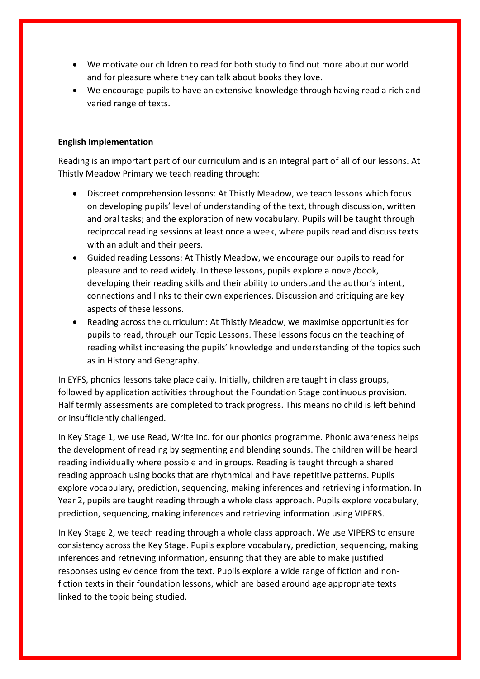- We motivate our children to read for both study to find out more about our world and for pleasure where they can talk about books they love.
- We encourage pupils to have an extensive knowledge through having read a rich and varied range of texts.

#### **English Implementation**

Reading is an important part of our curriculum and is an integral part of all of our lessons. At Thistly Meadow Primary we teach reading through:

- Discreet comprehension lessons: At Thistly Meadow, we teach lessons which focus on developing pupils' level of understanding of the text, through discussion, written and oral tasks; and the exploration of new vocabulary. Pupils will be taught through reciprocal reading sessions at least once a week, where pupils read and discuss texts with an adult and their peers.
- Guided reading Lessons: At Thistly Meadow, we encourage our pupils to read for pleasure and to read widely. In these lessons, pupils explore a novel/book, developing their reading skills and their ability to understand the author's intent, connections and links to their own experiences. Discussion and critiquing are key aspects of these lessons.
- Reading across the curriculum: At Thistly Meadow, we maximise opportunities for pupils to read, through our Topic Lessons. These lessons focus on the teaching of reading whilst increasing the pupils' knowledge and understanding of the topics such as in History and Geography.

In EYFS, phonics lessons take place daily. Initially, children are taught in class groups, followed by application activities throughout the Foundation Stage continuous provision. Half termly assessments are completed to track progress. This means no child is left behind or insufficiently challenged.

In Key Stage 1, we use Read, Write Inc. for our phonics programme. Phonic awareness helps the development of reading by segmenting and blending sounds. The children will be heard reading individually where possible and in groups. Reading is taught through a shared reading approach using books that are rhythmical and have repetitive patterns. Pupils explore vocabulary, prediction, sequencing, making inferences and retrieving information. In Year 2, pupils are taught reading through a whole class approach. Pupils explore vocabulary, prediction, sequencing, making inferences and retrieving information using VIPERS.

In Key Stage 2, we teach reading through a whole class approach. We use VIPERS to ensure consistency across the Key Stage. Pupils explore vocabulary, prediction, sequencing, making inferences and retrieving information, ensuring that they are able to make justified responses using evidence from the text. Pupils explore a wide range of fiction and nonfiction texts in their foundation lessons, which are based around age appropriate texts linked to the topic being studied.